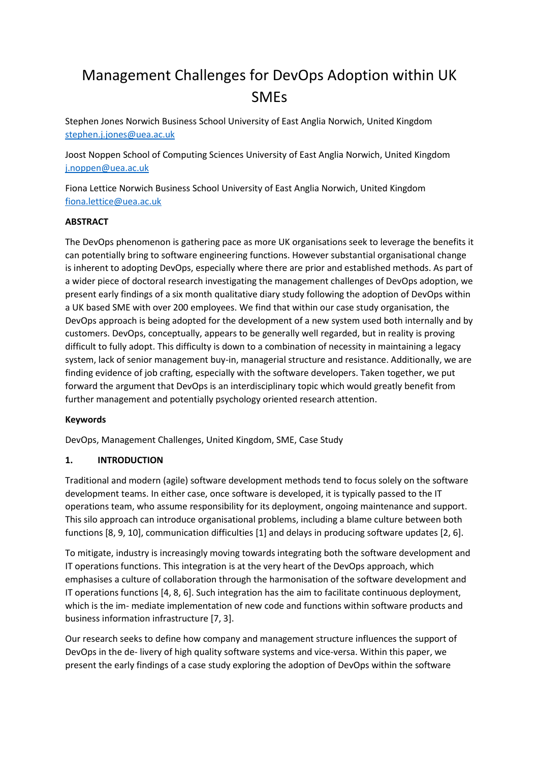# Management Challenges for DevOps Adoption within UK SMEs

Stephen Jones Norwich Business School University of East Anglia Norwich, United Kingdom [stephen.j.jones@uea.ac.uk](mailto:stephen.j.jones@uea.ac.uk)

Joost Noppen School of Computing Sciences University of East Anglia Norwich, United Kingdom [j.noppen@uea.ac.uk](mailto:j.noppen@uea.ac.uk)

Fiona Lettice Norwich Business School University of East Anglia Norwich, United Kingdom [fiona.lettice@uea.ac.uk](mailto:fiona.lettice@uea.ac.uk)

#### **ABSTRACT**

The DevOps phenomenon is gathering pace as more UK organisations seek to leverage the benefits it can potentially bring to software engineering functions. However substantial organisational change is inherent to adopting DevOps, especially where there are prior and established methods. As part of a wider piece of doctoral research investigating the management challenges of DevOps adoption, we present early findings of a six month qualitative diary study following the adoption of DevOps within a UK based SME with over 200 employees. We find that within our case study organisation, the DevOps approach is being adopted for the development of a new system used both internally and by customers. DevOps, conceptually, appears to be generally well regarded, but in reality is proving difficult to fully adopt. This difficulty is down to a combination of necessity in maintaining a legacy system, lack of senior management buy-in, managerial structure and resistance. Additionally, we are finding evidence of job crafting, especially with the software developers. Taken together, we put forward the argument that DevOps is an interdisciplinary topic which would greatly benefit from further management and potentially psychology oriented research attention.

#### **Keywords**

DevOps, Management Challenges, United Kingdom, SME, Case Study

#### **1. INTRODUCTION**

Traditional and modern (agile) software development methods tend to focus solely on the software development teams. In either case, once software is developed, it is typically passed to the IT operations team, who assume responsibility for its deployment, ongoing maintenance and support. This silo approach can introduce organisational problems, including a blame culture between both functions [8, 9, 10], communication difficulties [1] and delays in producing software updates [2, 6].

To mitigate, industry is increasingly moving towards integrating both the software development and IT operations functions. This integration is at the very heart of the DevOps approach, which emphasises a culture of collaboration through the harmonisation of the software development and IT operations functions [4, 8, 6]. Such integration has the aim to facilitate continuous deployment, which is the im- mediate implementation of new code and functions within software products and business information infrastructure [7, 3].

Our research seeks to define how company and management structure influences the support of DevOps in the de- livery of high quality software systems and vice-versa. Within this paper, we present the early findings of a case study exploring the adoption of DevOps within the software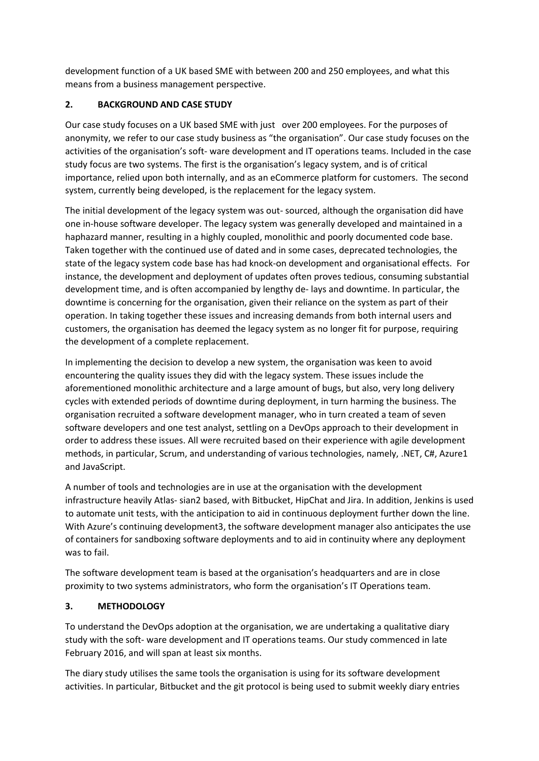development function of a UK based SME with between 200 and 250 employees, and what this means from a business management perspective.

## **2. BACKGROUND AND CASE STUDY**

Our case study focuses on a UK based SME with just over 200 employees. For the purposes of anonymity, we refer to our case study business as "the organisation". Our case study focuses on the activities of the organisation's soft- ware development and IT operations teams. Included in the case study focus are two systems. The first is the organisation's legacy system, and is of critical importance, relied upon both internally, and as an eCommerce platform for customers. The second system, currently being developed, is the replacement for the legacy system.

The initial development of the legacy system was out- sourced, although the organisation did have one in-house software developer. The legacy system was generally developed and maintained in a haphazard manner, resulting in a highly coupled, monolithic and poorly documented code base. Taken together with the continued use of dated and in some cases, deprecated technologies, the state of the legacy system code base has had knock-on development and organisational effects. For instance, the development and deployment of updates often proves tedious, consuming substantial development time, and is often accompanied by lengthy de- lays and downtime. In particular, the downtime is concerning for the organisation, given their reliance on the system as part of their operation. In taking together these issues and increasing demands from both internal users and customers, the organisation has deemed the legacy system as no longer fit for purpose, requiring the development of a complete replacement.

In implementing the decision to develop a new system, the organisation was keen to avoid encountering the quality issues they did with the legacy system. These issues include the aforementioned monolithic architecture and a large amount of bugs, but also, very long delivery cycles with extended periods of downtime during deployment, in turn harming the business. The organisation recruited a software development manager, who in turn created a team of seven software developers and one test analyst, settling on a DevOps approach to their development in order to address these issues. All were recruited based on their experience with agile development methods, in particular, Scrum, and understanding of various technologies, namely, .NET, C#, Azure1 and JavaScript.

A number of tools and technologies are in use at the organisation with the development infrastructure heavily Atlas- sian2 based, with Bitbucket, HipChat and Jira. In addition, Jenkins is used to automate unit tests, with the anticipation to aid in continuous deployment further down the line. With Azure's continuing development3, the software development manager also anticipates the use of containers for sandboxing software deployments and to aid in continuity where any deployment was to fail.

The software development team is based at the organisation's headquarters and are in close proximity to two systems administrators, who form the organisation's IT Operations team.

#### **3. METHODOLOGY**

To understand the DevOps adoption at the organisation, we are undertaking a qualitative diary study with the soft- ware development and IT operations teams. Our study commenced in late February 2016, and will span at least six months.

The diary study utilises the same tools the organisation is using for its software development activities. In particular, Bitbucket and the git protocol is being used to submit weekly diary entries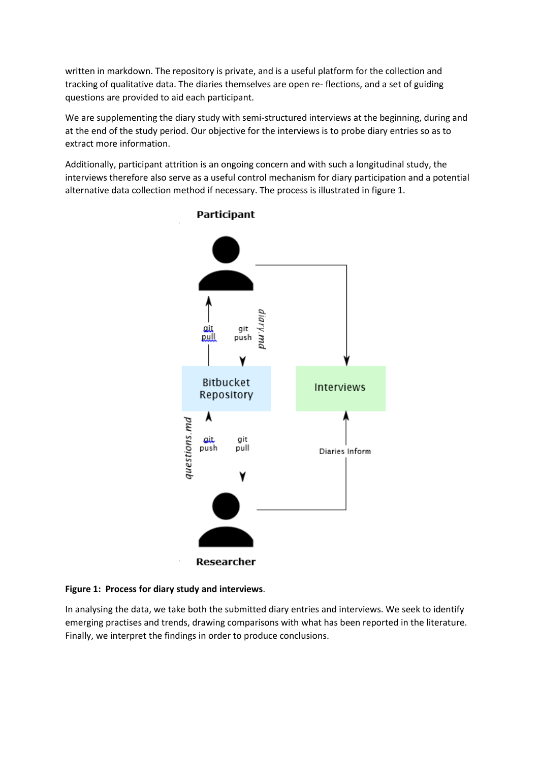written in markdown. The repository is private, and is a useful platform for the collection and tracking of qualitative data. The diaries themselves are open re- flections, and a set of guiding questions are provided to aid each participant.

We are supplementing the diary study with semi-structured interviews at the beginning, during and at the end of the study period. Our objective for the interviews is to probe diary entries so as to extract more information.

Additionally, participant attrition is an ongoing concern and with such a longitudinal study, the interviews therefore also serve as a useful control mechanism for diary participation and a potential alternative data collection method if necessary. The process is illustrated in figure 1.



## Participant

#### **Figure 1: Process for diary study and interviews**.

In analysing the data, we take both the submitted diary entries and interviews. We seek to identify emerging practises and trends, drawing comparisons with what has been reported in the literature. Finally, we interpret the findings in order to produce conclusions.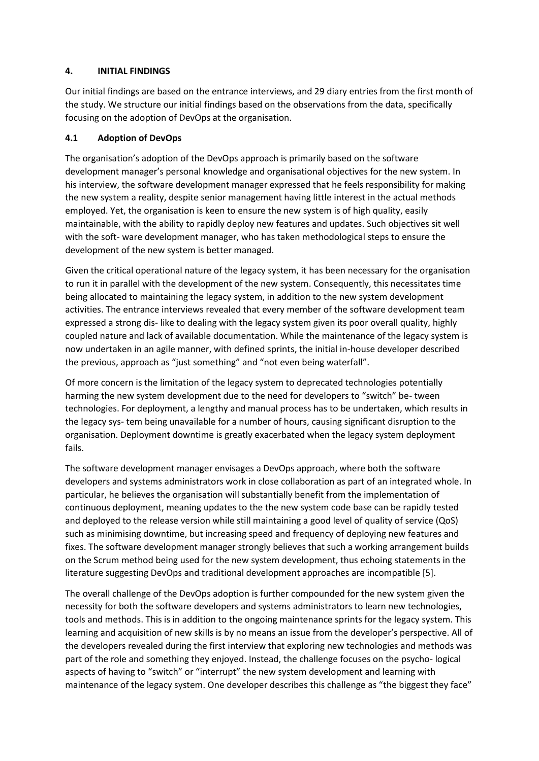#### **4. INITIAL FINDINGS**

Our initial findings are based on the entrance interviews, and 29 diary entries from the first month of the study. We structure our initial findings based on the observations from the data, specifically focusing on the adoption of DevOps at the organisation.

#### **4.1 Adoption of DevOps**

The organisation's adoption of the DevOps approach is primarily based on the software development manager's personal knowledge and organisational objectives for the new system. In his interview, the software development manager expressed that he feels responsibility for making the new system a reality, despite senior management having little interest in the actual methods employed. Yet, the organisation is keen to ensure the new system is of high quality, easily maintainable, with the ability to rapidly deploy new features and updates. Such objectives sit well with the soft- ware development manager, who has taken methodological steps to ensure the development of the new system is better managed.

Given the critical operational nature of the legacy system, it has been necessary for the organisation to run it in parallel with the development of the new system. Consequently, this necessitates time being allocated to maintaining the legacy system, in addition to the new system development activities. The entrance interviews revealed that every member of the software development team expressed a strong dis- like to dealing with the legacy system given its poor overall quality, highly coupled nature and lack of available documentation. While the maintenance of the legacy system is now undertaken in an agile manner, with defined sprints, the initial in-house developer described the previous, approach as "just something" and "not even being waterfall".

Of more concern is the limitation of the legacy system to deprecated technologies potentially harming the new system development due to the need for developers to "switch" be- tween technologies. For deployment, a lengthy and manual process has to be undertaken, which results in the legacy sys- tem being unavailable for a number of hours, causing significant disruption to the organisation. Deployment downtime is greatly exacerbated when the legacy system deployment fails.

The software development manager envisages a DevOps approach, where both the software developers and systems administrators work in close collaboration as part of an integrated whole. In particular, he believes the organisation will substantially benefit from the implementation of continuous deployment, meaning updates to the the new system code base can be rapidly tested and deployed to the release version while still maintaining a good level of quality of service (QoS) such as minimising downtime, but increasing speed and frequency of deploying new features and fixes. The software development manager strongly believes that such a working arrangement builds on the Scrum method being used for the new system development, thus echoing statements in the literature suggesting DevOps and traditional development approaches are incompatible [5].

The overall challenge of the DevOps adoption is further compounded for the new system given the necessity for both the software developers and systems administrators to learn new technologies, tools and methods. This is in addition to the ongoing maintenance sprints for the legacy system. This learning and acquisition of new skills is by no means an issue from the developer's perspective. All of the developers revealed during the first interview that exploring new technologies and methods was part of the role and something they enjoyed. Instead, the challenge focuses on the psycho- logical aspects of having to "switch" or "interrupt" the new system development and learning with maintenance of the legacy system. One developer describes this challenge as "the biggest they face"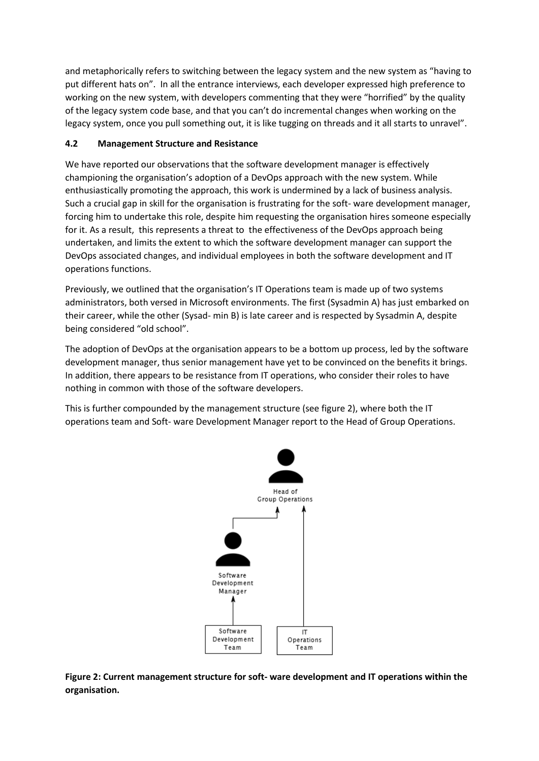and metaphorically refers to switching between the legacy system and the new system as "having to put different hats on". In all the entrance interviews, each developer expressed high preference to working on the new system, with developers commenting that they were "horrified" by the quality of the legacy system code base, and that you can't do incremental changes when working on the legacy system, once you pull something out, it is like tugging on threads and it all starts to unravel".

## **4.2 Management Structure and Resistance**

We have reported our observations that the software development manager is effectively championing the organisation's adoption of a DevOps approach with the new system. While enthusiastically promoting the approach, this work is undermined by a lack of business analysis. Such a crucial gap in skill for the organisation is frustrating for the soft- ware development manager, forcing him to undertake this role, despite him requesting the organisation hires someone especially for it. As a result, this represents a threat to the effectiveness of the DevOps approach being undertaken, and limits the extent to which the software development manager can support the DevOps associated changes, and individual employees in both the software development and IT operations functions.

Previously, we outlined that the organisation's IT Operations team is made up of two systems administrators, both versed in Microsoft environments. The first (Sysadmin A) has just embarked on their career, while the other (Sysad- min B) is late career and is respected by Sysadmin A, despite being considered "old school".

The adoption of DevOps at the organisation appears to be a bottom up process, led by the software development manager, thus senior management have yet to be convinced on the benefits it brings. In addition, there appears to be resistance from IT operations, who consider their roles to have nothing in common with those of the software developers.

This is further compounded by the management structure (see figure 2), where both the IT operations team and Soft- ware Development Manager report to the Head of Group Operations.



**Figure 2: Current management structure for soft- ware development and IT operations within the organisation.**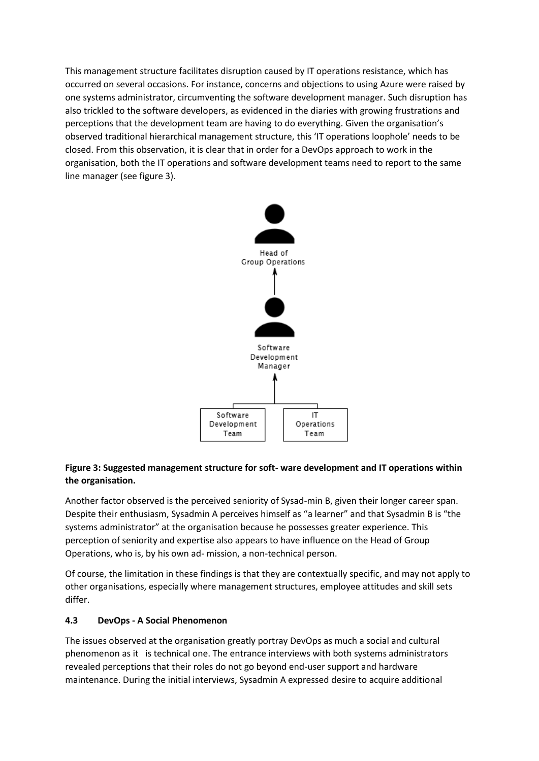This management structure facilitates disruption caused by IT operations resistance, which has occurred on several occasions. For instance, concerns and objections to using Azure were raised by one systems administrator, circumventing the software development manager. Such disruption has also trickled to the software developers, as evidenced in the diaries with growing frustrations and perceptions that the development team are having to do everything. Given the organisation's observed traditional hierarchical management structure, this 'IT operations loophole' needs to be closed. From this observation, it is clear that in order for a DevOps approach to work in the organisation, both the IT operations and software development teams need to report to the same line manager (see figure 3).



## **Figure 3: Suggested management structure for soft- ware development and IT operations within the organisation.**

Another factor observed is the perceived seniority of Sysad-min B, given their longer career span. Despite their enthusiasm, Sysadmin A perceives himself as "a learner" and that Sysadmin B is "the systems administrator" at the organisation because he possesses greater experience. This perception of seniority and expertise also appears to have influence on the Head of Group Operations, who is, by his own ad- mission, a non-technical person.

Of course, the limitation in these findings is that they are contextually specific, and may not apply to other organisations, especially where management structures, employee attitudes and skill sets differ.

#### **4.3 DevOps - A Social Phenomenon**

The issues observed at the organisation greatly portray DevOps as much a social and cultural phenomenon as it is technical one. The entrance interviews with both systems administrators revealed perceptions that their roles do not go beyond end-user support and hardware maintenance. During the initial interviews, Sysadmin A expressed desire to acquire additional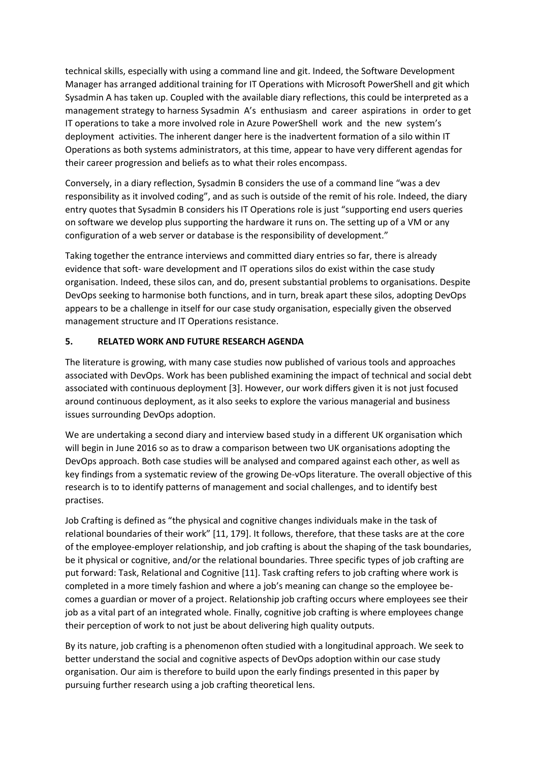technical skills, especially with using a command line and git. Indeed, the Software Development Manager has arranged additional training for IT Operations with Microsoft PowerShell and git which Sysadmin A has taken up. Coupled with the available diary reflections, this could be interpreted as a management strategy to harness Sysadmin A's enthusiasm and career aspirations in order to get IT operations to take a more involved role in Azure PowerShell work and the new system's deployment activities. The inherent danger here is the inadvertent formation of a silo within IT Operations as both systems administrators, at this time, appear to have very different agendas for their career progression and beliefs as to what their roles encompass.

Conversely, in a diary reflection, Sysadmin B considers the use of a command line "was a dev responsibility as it involved coding", and as such is outside of the remit of his role. Indeed, the diary entry quotes that Sysadmin B considers his IT Operations role is just "supporting end users queries on software we develop plus supporting the hardware it runs on. The setting up of a VM or any configuration of a web server or database is the responsibility of development."

Taking together the entrance interviews and committed diary entries so far, there is already evidence that soft- ware development and IT operations silos do exist within the case study organisation. Indeed, these silos can, and do, present substantial problems to organisations. Despite DevOps seeking to harmonise both functions, and in turn, break apart these silos, adopting DevOps appears to be a challenge in itself for our case study organisation, especially given the observed management structure and IT Operations resistance.

#### **5. RELATED WORK AND FUTURE RESEARCH AGENDA**

The literature is growing, with many case studies now published of various tools and approaches associated with DevOps. Work has been published examining the impact of technical and social debt associated with continuous deployment [3]. However, our work differs given it is not just focused around continuous deployment, as it also seeks to explore the various managerial and business issues surrounding DevOps adoption.

We are undertaking a second diary and interview based study in a different UK organisation which will begin in June 2016 so as to draw a comparison between two UK organisations adopting the DevOps approach. Both case studies will be analysed and compared against each other, as well as key findings from a systematic review of the growing De-vOps literature. The overall objective of this research is to to identify patterns of management and social challenges, and to identify best practises.

Job Crafting is defined as "the physical and cognitive changes individuals make in the task of relational boundaries of their work" [11, 179]. It follows, therefore, that these tasks are at the core of the employee-employer relationship, and job crafting is about the shaping of the task boundaries, be it physical or cognitive, and/or the relational boundaries. Three specific types of job crafting are put forward: Task, Relational and Cognitive [11]. Task crafting refers to job crafting where work is completed in a more timely fashion and where a job's meaning can change so the employee becomes a guardian or mover of a project. Relationship job crafting occurs where employees see their job as a vital part of an integrated whole. Finally, cognitive job crafting is where employees change their perception of work to not just be about delivering high quality outputs.

By its nature, job crafting is a phenomenon often studied with a longitudinal approach. We seek to better understand the social and cognitive aspects of DevOps adoption within our case study organisation. Our aim is therefore to build upon the early findings presented in this paper by pursuing further research using a job crafting theoretical lens.